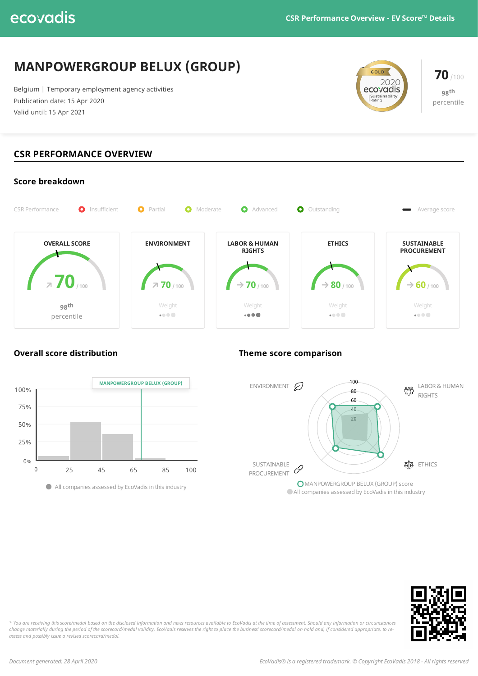# **MANPOWERGROUP BELUX (GROUP)**

Belgium | Temporary employment agency activities Publication date: 15 Apr 2020 Valid until: 15 Apr 2021



**70**/100 **98 th** percentile

## **CSR PERFORMANCE OVERVIEW**









\* You are receiving this score/medal based on the disclosed information and news resources available to EcoVadis at the time of assessment. Should any information or circumstances change materially during the period of the scorecard/medal validity, EcoVadis reserves the right to place the business' scorecard/medal on hold and, if considered appropriate, to re*assess and possibly issue a revised scorecard/medal.*